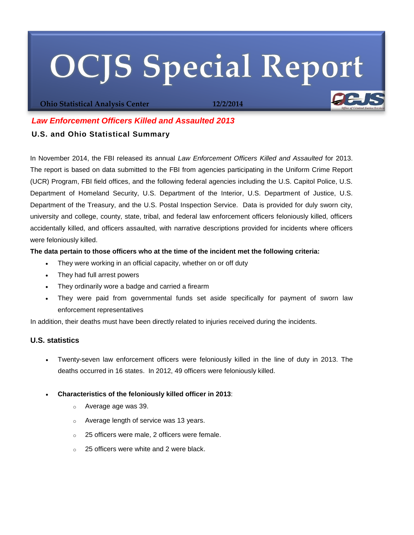# **OCJS Special Report**

**Ohio Statistical Analysis Center 12/2/2014**

# *Law Enforcement Officers Killed and Assaulted 2013*

# **U.S. and Ohio Statistical Summary**

In November 2014, the FBI released its annual *Law Enforcement Officers Killed and Assaulted* for 2013. The report is based on data submitted to the FBI from agencies participating in the Uniform Crime Report (UCR) Program, FBI field offices, and the following federal agencies including the U.S. Capitol Police, U.S. Department of Homeland Security, U.S. Department of the Interior, U.S. Department of Justice, U.S. Department of the Treasury, and the U.S. Postal Inspection Service. Data is provided for duly sworn city, university and college, county, state, tribal, and federal law enforcement officers feloniously killed, officers accidentally killed, and officers assaulted, with narrative descriptions provided for incidents where officers were feloniously killed.

# **The data pertain to those officers who at the time of the incident met the following criteria:**

- They were working in an official capacity, whether on or off duty
- They had full arrest powers
- They ordinarily wore a badge and carried a firearm
- They were paid from governmental funds set aside specifically for payment of sworn law enforcement representatives

In addition, their deaths must have been directly related to injuries received during the incidents.

# **U.S. statistics**

- Twenty-seven law enforcement officers were feloniously killed in the line of duty in 2013. The deaths occurred in 16 states. In 2012, 49 officers were feloniously killed.
- **Characteristics of the feloniously killed officer in 2013**:
	- o Average age was 39.
	- o Average length of service was 13 years.
	- o 25 officers were male, 2 officers were female.
	- 25 officers were white and 2 were black.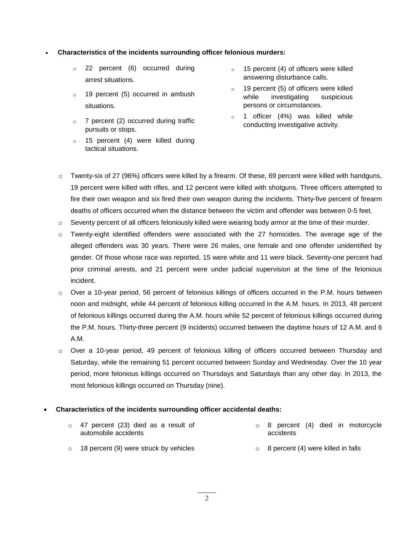## **Characteristics of the incidents surrounding officer felonious murders:**

- o 22 percent (6) occurred during arrest situations.
- o 19 percent (5) occurred in ambush situations.
- $\circ$  7 percent (2) occurred during traffic pursuits or stops.
- o 15 percent (4) were killed during tactical situations.
- o 15 percent (4) of officers were killed answering disturbance calls.
- o 19 percent (5) of officers were killed while investigating suspicious persons or circumstances.
- o 1 officer (4%) was killed while conducting investigative activity.
- Twenty-six of 27 (96%) officers were killed by a firearm. Of these, 69 percent were killed with handguns, 19 percent were killed with rifles, and 12 percent were killed with shotguns. Three officers attempted to fire their own weapon and six fired their own weapon during the incidents. Thirty-five percent of firearm deaths of officers occurred when the distance between the victim and offender was between 0-5 feet.
- $\circ$  Seventy percent of all officers feloniously killed were wearing body armor at the time of their murder.
- o Twenty-eight identified offenders were associated with the 27 homicides. The average age of the alleged offenders was 30 years. There were 26 males, one female and one offender unidentified by gender. Of those whose race was reported, 15 were white and 11 were black. Seventy-one percent had prior criminal arrests, and 21 percent were under judicial supervision at the time of the felonious incident.
- o Over a 10-year period, 56 percent of felonious killings of officers occurred in the P.M. hours between noon and midnight, while 44 percent of felonious killing occurred in the A.M. hours. In 2013, 48 percent of felonious killings occurred during the A.M. hours while 52 percent of felonious killings occurred during the P.M. hours. Thirty-three percent (9 incidents) occurred between the daytime hours of 12 A.M. and 6 A.M.
- o Over a 10-year period, 49 percent of felonious killing of officers occurred between Thursday and Saturday, while the remaining 51 percent occurred between Sunday and Wednesday. Over the 10 year period, more felonious killings occurred on Thursdays and Saturdays than any other day. In 2013, the most felonious killings occurred on Thursday (nine).

### **Characteristics of the incidents surrounding officer accidental deaths:**

| $\circ$ 47 percent (23) died as a result of<br>automobile accidents | $\circ$ 8 percent (4) died in motorcycle<br>accidents |
|---------------------------------------------------------------------|-------------------------------------------------------|
| $\circ$ 18 percent (9) were struck by vehicles                      | $\circ$ 8 percent (4) were killed in falls            |